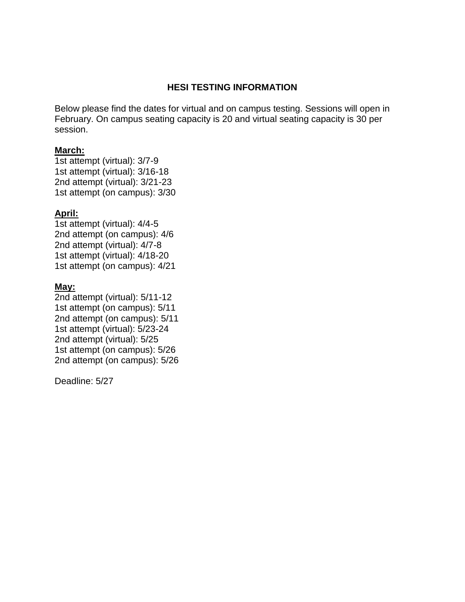# **HESI TESTING INFORMATION**

Below please find the dates for virtual and on campus testing. Sessions will open in February. On campus seating capacity is 20 and virtual seating capacity is 30 per session.

## **March:**

1st attempt (virtual): 3/7-9 1st attempt (virtual): 3/16-18 2nd attempt (virtual): 3/21-23 1st attempt (on campus): 3/30

## **April:**

1st attempt (virtual): 4/4-5 2nd attempt (on campus): 4/6 2nd attempt (virtual): 4/7-8 1st attempt (virtual): 4/18-20 1st attempt (on campus): 4/21

#### **May:**

2nd attempt (virtual): 5/11-12 1st attempt (on campus): 5/11 2nd attempt (on campus): 5/11 1st attempt (virtual): 5/23-24 2nd attempt (virtual): 5/25 1st attempt (on campus): 5/26 2nd attempt (on campus): 5/26

Deadline: 5/27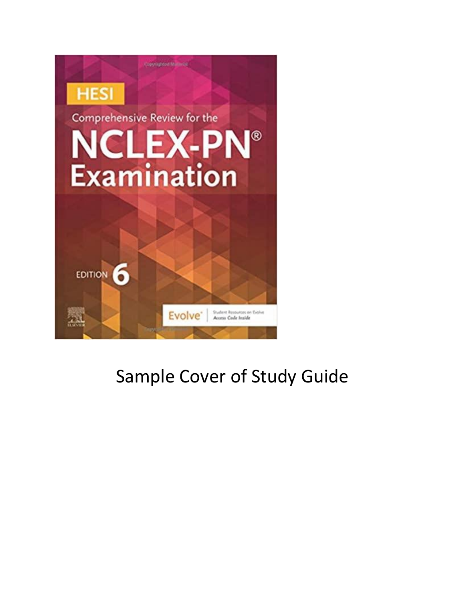

# Sample Cover of Study Guide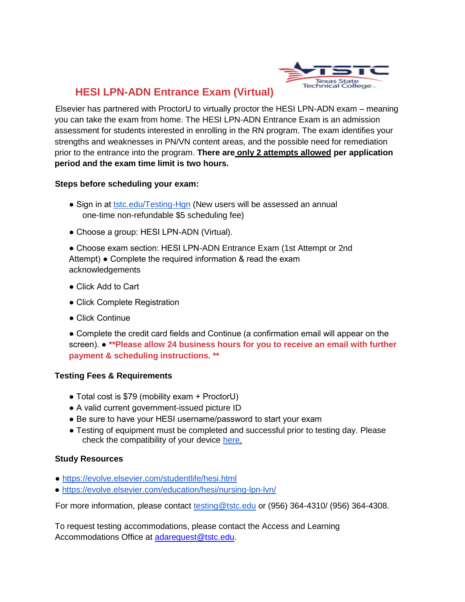

# **HESI LPN-ADN Entrance Exam (Virtual)**

Elsevier has partnered with ProctorU to virtually proctor the HESI LPN-ADN exam – meaning you can take the exam from home. The HESI LPN-ADN Entrance Exam is an admission assessment for students interested in enrolling in the RN program. The exam identifies your strengths and weaknesses in PN/VN content areas, and the possible need for remediation prior to the entrance into the program. **There are only 2 attempts allowed per application period and the exam time limit is two hours.** 

#### **Steps before scheduling your exam:**

- Sign in at tstc.edu/Testing-Hgn (New users will be assessed an annual one-time non-refundable \$5 scheduling fee)
- Choose a group: HESI LPN-ADN (Virtual).

● Choose exam section: HESI LPN-ADN Entrance Exam (1st Attempt or 2nd Attempt) ● Complete the required information & read the exam acknowledgements

- Click Add to Cart
- Click Complete Registration
- Click Continue

● Complete the credit card fields and Continue (a confirmation email will appear on the screen). ● **\*\*Please allow 24 business hours for you to receive an email with further payment & scheduling instructions. \*\*** 

## **Testing Fees & Requirements**

- Total cost is \$79 (mobility exam + ProctorU)
- A valid current government-issued picture ID
- Be sure to have your HESI username/password to start your exam
- Testing of equipment must be completed and successful prior to testing day. Please check the compatibility of your device here.

#### **Study Resources**

- https://evolve.elsevier.com/studentlife/hesi.html
- https://evolve.elsevier.com/education/hesi/nursing-lpn-lvn/

For more information, please contact testing@tstc.edu or (956) 364-4310/ (956) 364-4308.

To request testing accommodations, please contact the Access and Learning Accommodations Office at [adarequest@tstc.edu.](mailto:adarequest@tstc.edu)